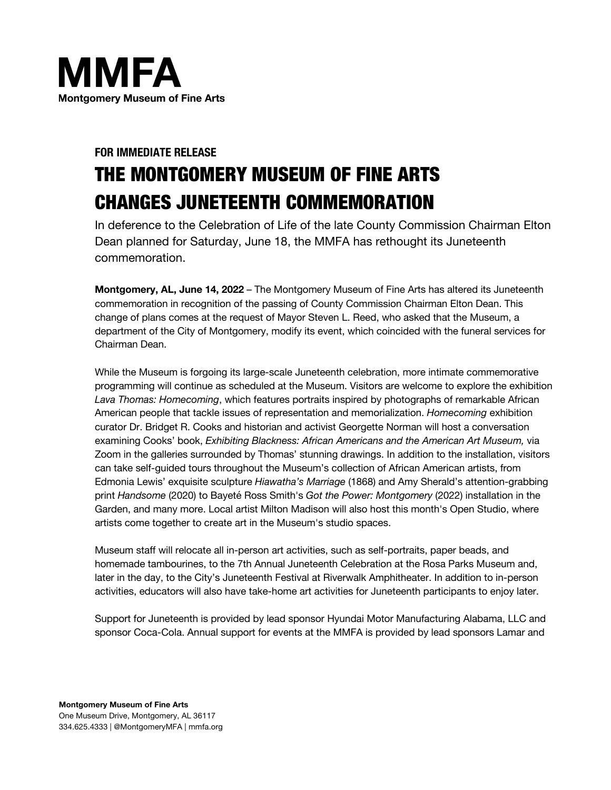

# **FOR IMMEDIATE RELEASE** THE MONTGOMERY MUSEUM OF FINE ARTS CHANGES JUNETEENTH COMMEMORATION

In deference to the Celebration of Life of the late County Commission Chairman Elton Dean planned for Saturday, June 18, the MMFA has rethought its Juneteenth commemoration.

**Montgomery, AL, June 14, 2022** – The Montgomery Museum of Fine Arts has altered its Juneteenth commemoration in recognition of the passing of County Commission Chairman Elton Dean. This change of plans comes at the request of Mayor Steven L. Reed, who asked that the Museum, a department of the City of Montgomery, modify its event, which coincided with the funeral services for Chairman Dean.

While the Museum is forgoing its large-scale Juneteenth celebration, more intimate commemorative programming will continue as scheduled at the Museum. Visitors are welcome to explore the exhibition *Lava Thomas: Homecoming*, which features portraits inspired by photographs of remarkable African American people that tackle issues of representation and memorialization. *Homecoming* exhibition curator Dr. Bridget R. Cooks and historian and activist Georgette Norman will host a conversation examining Cooks' book, *Exhibiting Blackness: African Americans and the American Art Museum,* via Zoom in the galleries surrounded by Thomas' stunning drawings. In addition to the installation, visitors can take self-guided tours throughout the Museum's collection of African American artists, from Edmonia Lewis' exquisite sculpture *Hiawatha's Marriage* (1868) and Amy Sherald's attention-grabbing print *Handsome* (2020) to Bayeté Ross Smith's *Got the Power: Montgomery* (2022) installation in the Garden, and many more. Local artist Milton Madison will also host this month's Open Studio, where artists come together to create art in the Museum's studio spaces.

Museum staff will relocate all in-person art activities, such as self-portraits, paper beads, and homemade tambourines, to the 7th Annual Juneteenth Celebration at the Rosa Parks Museum and, later in the day, to the City's Juneteenth Festival at Riverwalk Amphitheater. In addition to in-person activities, educators will also have take-home art activities for Juneteenth participants to enjoy later.

Support for Juneteenth is provided by lead sponsor Hyundai Motor Manufacturing Alabama, LLC and sponsor Coca-Cola. Annual support for events at the MMFA is provided by lead sponsors Lamar and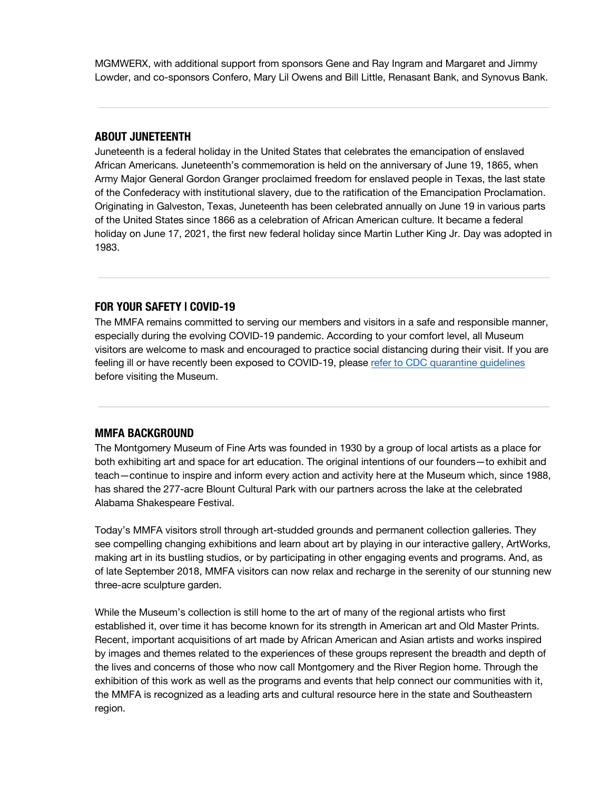MGMWERX, with additional support from sponsors Gene and Ray Ingram and Margaret and Jimmy Lowder, and co-sponsors Confero, Mary Lil Owens and Bill Little, Renasant Bank, and Synovus Bank.

### **ABOUT JUNETEENTH**

Juneteenth is a federal holiday in the United States that celebrates the emancipation of enslaved African Americans. Juneteenth's commemoration is held on the anniversary of June 19, 1865, when Army Major General Gordon Granger proclaimed freedom for enslaved people in Texas, the last state of the Confederacy with institutional slavery, due to the ratification of the Emancipation Proclamation. Originating in Galveston, Texas, Juneteenth has been celebrated annually on June 19 in various parts of the United States since 1866 as a celebration of African American culture. It became a federal holiday on June 17, 2021, the first new federal holiday since Martin Luther King Jr. Day was adopted in 1983.

#### **FOR YOUR SAFETY | COVID-19**

The MMFA remains committed to serving our members and visitors in a safe and responsible manner, especially during the evolving COVID-19 pandemic. According to your comfort level, all Museum visitors are welcome to mask and encouraged to practice social distancing during their visit. If you are feeling ill or have recently been exposed to COVID-19, please refer to CDC quarantine guidelines before visiting the Museum.

#### **MMFA BACKGROUND**

The Montgomery Museum of Fine Arts was founded in 1930 by a group of local artists as a place for both exhibiting art and space for art education. The original intentions of our founders—to exhibit and teach—continue to inspire and inform every action and activity here at the Museum which, since 1988, has shared the 277-acre Blount Cultural Park with our partners across the lake at the celebrated Alabama Shakespeare Festival.

Today's MMFA visitors stroll through art-studded grounds and permanent collection galleries. They see compelling changing exhibitions and learn about art by playing in our interactive gallery, ArtWorks, making art in its bustling studios, or by participating in other engaging events and programs. And, as of late September 2018, MMFA visitors can now relax and recharge in the serenity of our stunning new three-acre sculpture garden.

While the Museum's collection is still home to the art of many of the regional artists who first established it, over time it has become known for its strength in American art and Old Master Prints. Recent, important acquisitions of art made by African American and Asian artists and works inspired by images and themes related to the experiences of these groups represent the breadth and depth of the lives and concerns of those who now call Montgomery and the River Region home. Through the exhibition of this work as well as the programs and events that help connect our communities with it, the MMFA is recognized as a leading arts and cultural resource here in the state and Southeastern region.